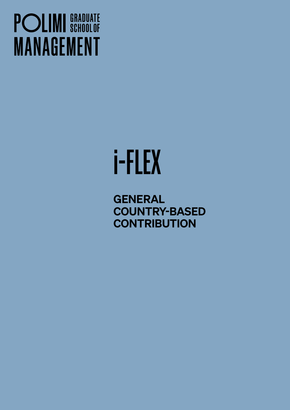## **POLIMI** SCHOOLOF **MANAGEMENT**

# i-FLEX

**GENERAL** COUNTRY-BASED **CONTRIBUTION**